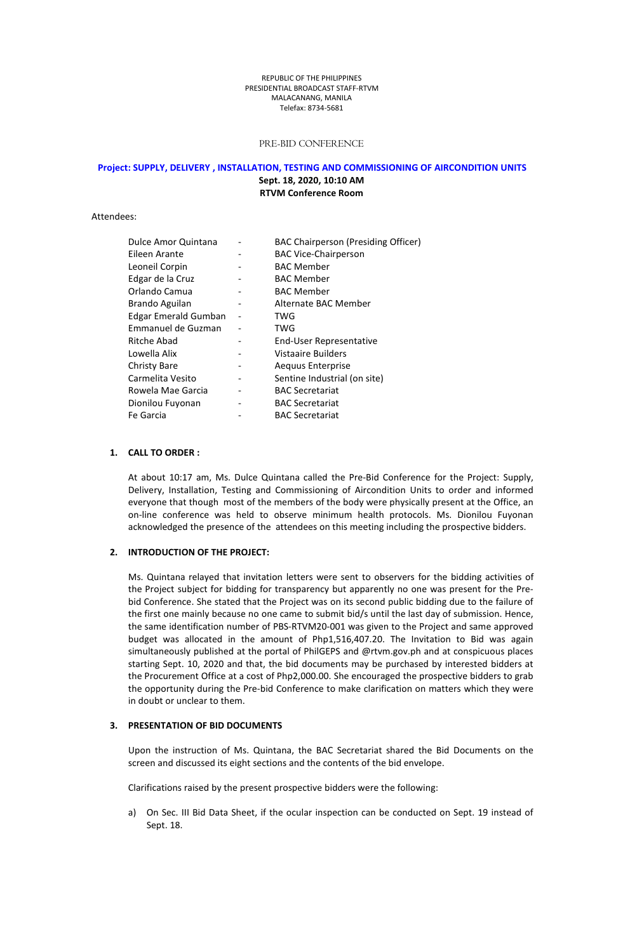#### REPUBLIC OFTHE PHILIPPINES PRESIDENTIAL BROADCAST STAFF-RTVM MALACANANG, MANILA Telefax: 8734-5681

### PRE-BID CONFERENCE

#### **Project: SUPPLY, DELIVERY , INSTALLATION, TESTING AND COMMISSIONING OF AIRCONDITION UNITS**

**Sept. 18, 2020, 10:10 AM RTVM Conference Room**

Attendees:

| Dulce Amor Quintana         | BAC Chairperson (Presiding Officer) |
|-----------------------------|-------------------------------------|
| Eileen Arante               | <b>BAC Vice-Chairperson</b>         |
| Leoneil Corpin              | <b>BAC Member</b>                   |
| Edgar de la Cruz            | <b>BAC Member</b>                   |
| Orlando Camua               | <b>BAC Member</b>                   |
| Brando Aguilan              | Alternate BAC Member                |
| <b>Edgar Emerald Gumban</b> | TWG                                 |
| Emmanuel de Guzman          | TWG                                 |
| Ritche Abad                 | End-User Representative             |
| Lowella Alix                | <b>Vistaaire Builders</b>           |
| Christy Bare                | Aequus Enterprise                   |
| Carmelita Vesito            | Sentine Industrial (on site)        |
| Rowela Mae Garcia           | <b>BAC Secretariat</b>              |
| Dionilou Fuyonan            | <b>BAC Secretariat</b>              |
| Fe Garcia                   | <b>BAC Secretariat</b>              |

# **1. CALL TO ORDER :**

At about 10:17 am, Ms. Dulce Quintana called the Pre-Bid Conference for the Project: Supply, Delivery, Installation, Testing and Commissioning of Aircondition Units to order and informed everyone that though most of the members of the body were physically present at the Office, an on-line conference was held to observe minimum health protocols. Ms. Dionilou Fuyonan acknowledged the presence of the attendees on this meeting including the prospective bidders.

### **2. INTRODUCTION OF THEPROJECT:**

Ms. Quintana relayed that invitation letters were sent to observers for the bidding activities of the Project subject for bidding for transparency but apparently no one was present for the Prebid Conference. She stated that the Project was on its second public bidding due to the failure of the first one mainly because no one came to submit bid/s until the last day of submission. Hence, the same identification number of PBS-RTVM20-001 was given to the Project and same approved budget was allocated in the amount of Php1,516,407.20. The Invitation to Bid was again simultaneously published at the portal of PhilGEPS and @rtvm.gov.ph and at conspicuous places starting Sept. 10, 2020 and that, the bid documents may be purchased by interested bidders at the Procurement Office at a cost of Php2,000.00. She encouraged the prospective bidders to grab the opportunity during the Pre-bid Conference to make clarification on matters which they were in doubt or unclear to them.

# **3. PRESENTATION OF BID DOCUMENTS**

Upon the instruction of Ms. Quintana, the BAC Secretariat shared the Bid Documents on the screen and discussed its eight sections and the contents of the bid envelope.

Clarifications raised by the present prospective bidders were the following:

a) On Sec. III Bid Data Sheet, if the ocular inspection can be conducted on Sept. 19 instead of Sept. 18.